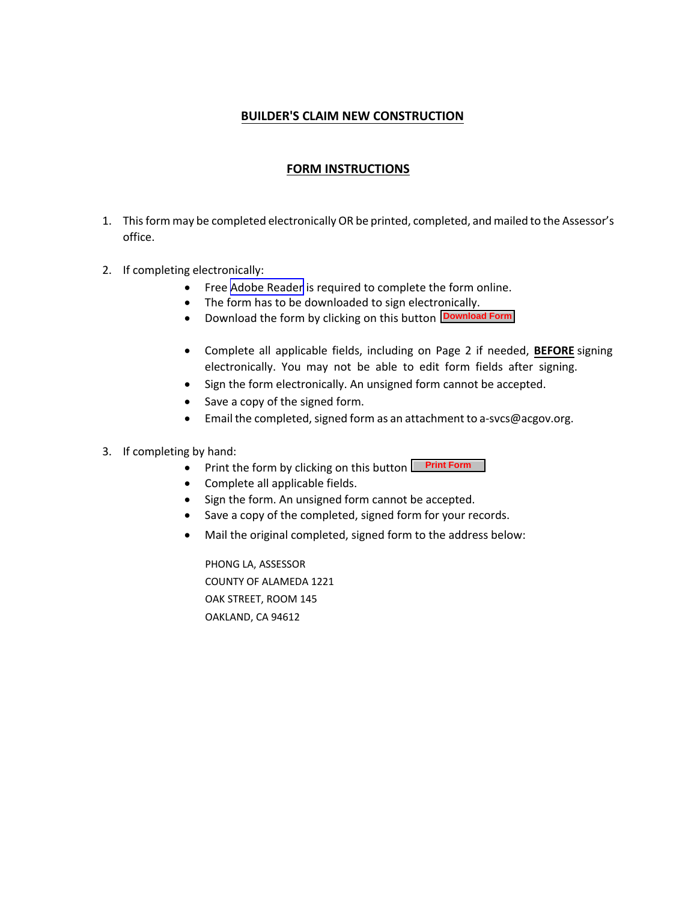## **BUILDER'S CLAIM NEW CONSTRUCTION**

# **FORM INSTRUCTIONS**

- 1. This form may be completed electronically OR be printed, completed, and mailed to the Assessor's office.
- 2. If completing electronically:
	- Free [Adobe Reader](https://get.adobe.com/reader/) is required to complete the form online.
	- The form has to be downloaded to sign electronically.
	- **•** Download the form by clicking on this button **Download Form**
	- Complete all applicable fields, including on Page 2 if needed, **BEFORE** signing electronically. You may not be able to edit form fields after signing.
	- Sign the form electronically. An unsigned form cannot be accepted.
	- Save a copy of the signed form.
	- Email the completed, signed form as an attachment to a-svcs@acgov.org.
- 3. If completing by hand:
	- **•** Print the form by clicking on this button **Print Form**
	- Complete all applicable fields.
	- Sign the form. An unsigned form cannot be accepted.
	- Save a copy of the completed, signed form for your records.
	- Mail the original completed, signed form to the address below:

PHONG LA, ASSESSOR COUNTY OF ALAMEDA 1221 OAK STREET, ROOM 145 OAKLAND, CA 94612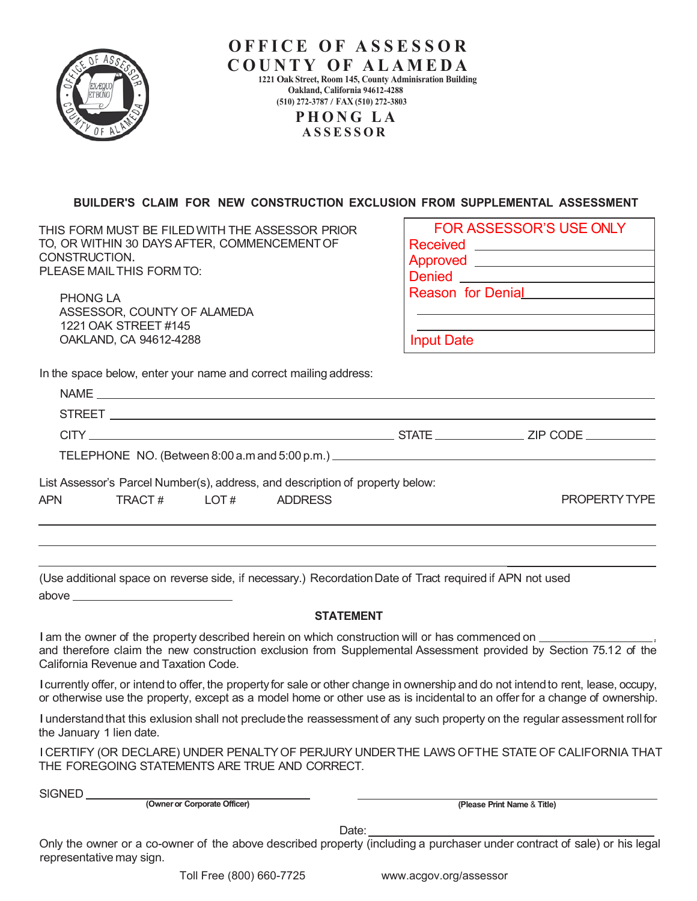

**2)),&(2) \$66(6625 COUNTY OF ALAMEDA** 1221 Oak Street, Room 145, County Adminisration Building **Oakland, California 94612-4288** (510) 272-3787 / FAX (510) 272-3803  **PHONG LA ASSESSOR** 

## BUILDER'S CLAIM FOR NEW CONSTRUCTION EXCLUSION FROM SUPPLEMENTAL ASSESSMENT

THIS FORM MUST BE FILEDWITH THE ASSESSOR PRIOR TO, OR WITHIN 30 DAYS AFTER, COMMENCEMENTOF CONSTRUCTlON. PLEASE MAILTHIS FORM TO:

PHONG LA ASSESSOR, COUNTY OF ALAMEDA 1221 OAK STREET #145 OAKLAND, CA 94612-4288

| <b>FOR ASSESSOR'S USE ONLY</b> |
|--------------------------------|
| <b>Received</b>                |
| Approved ___                   |
| Denied _                       |
| <b>Reason for Denial</b>       |
|                                |
|                                |
| <b>Input Date</b>              |

In the space below, enter your name and correct mailing address:

|      |                       |                                                                               | TELEPHONE NO. (Between 8:00 a.m and 5:00 p.m.) _________________________________ |
|------|-----------------------|-------------------------------------------------------------------------------|----------------------------------------------------------------------------------|
|      |                       | List Assessor's Parcel Number(s), address, and description of property below: |                                                                                  |
| APN. | TRACT # LOT # ADDRESS |                                                                               | <b>PROPERTY TYPE</b>                                                             |

(Use additional space on reverse side, if necessary.) RecordationDate of Tract required if APN not used above

#### **STATEMENT**

I am the owner of the property described herein on which construction will or has commenced on *<sup>1</sup>* and therefore claim the new construction exclusion from Supplemental Assessment provided by Section 75.12 of the California Revenue and Taxation Code.

Icurrently offer, or intend to offer, the propertyfor sale or other change in ownership and do not intendto rent, lease, occupy, or otherwise use the property, except as a model home or other use as is incidental to an offer for a change of ownership.

I understand that this exlusion shall not preclude the reassessment of any such property on the regular assessment roll for the January 1 lien date.

I CERTIFY (OR DECLARE) UNDER PENALTYOF PERJURY UNDERTHE LAWS OFTHE STATE OF CALIFORNIA THAT THE FOREGOING STATEMENTS ARE TRUE AND CORRECT.

SIGNED

**2ZQHURU&RUSRUDWH2IILFHU 3OHDVH3ULQW1DPH**& **7LWOH**

Date:

Only the owner or a co-owner of the above described property (including a purchaser under contract of sale) or his legal representative may sign.